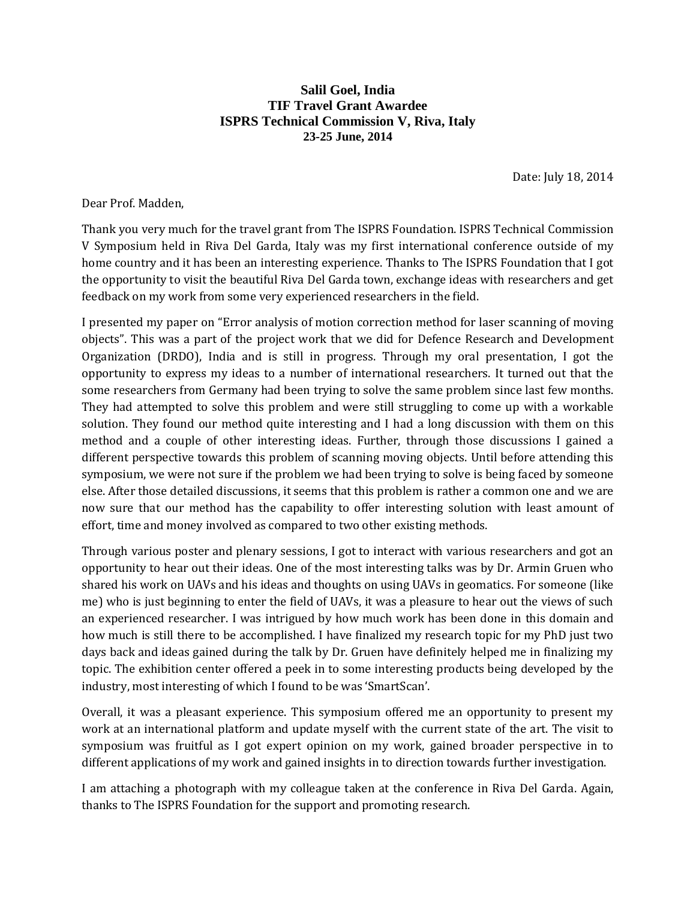## **Salil Goel, India TIF Travel Grant Awardee ISPRS Technical Commission V, Riva, Italy 23-25 June, 2014**

Date: July 18, 2014

Dear Prof. Madden,

Thank you very much for the travel grant from The ISPRS Foundation. ISPRS Technical Commission V Symposium held in Riva Del Garda, Italy was my first international conference outside of my home country and it has been an interesting experience. Thanks to The ISPRS Foundation that I got the opportunity to visit the beautiful Riva Del Garda town, exchange ideas with researchers and get feedback on my work from some very experienced researchers in the field.

I presented my paper on "Error analysis of motion correction method for laser scanning of moving objects". This was a part of the project work that we did for Defence Research and Development Organization (DRDO), India and is still in progress. Through my oral presentation, I got the opportunity to express my ideas to a number of international researchers. It turned out that the some researchers from Germany had been trying to solve the same problem since last few months. They had attempted to solve this problem and were still struggling to come up with a workable solution. They found our method quite interesting and I had a long discussion with them on this method and a couple of other interesting ideas. Further, through those discussions I gained a different perspective towards this problem of scanning moving objects. Until before attending this symposium, we were not sure if the problem we had been trying to solve is being faced by someone else. After those detailed discussions, it seems that this problem is rather a common one and we are now sure that our method has the capability to offer interesting solution with least amount of effort, time and money involved as compared to two other existing methods.

Through various poster and plenary sessions, I got to interact with various researchers and got an opportunity to hear out their ideas. One of the most interesting talks was by Dr. Armin Gruen who shared his work on UAVs and his ideas and thoughts on using UAVs in geomatics. For someone (like me) who is just beginning to enter the field of UAVs, it was a pleasure to hear out the views of such an experienced researcher. I was intrigued by how much work has been done in this domain and how much is still there to be accomplished. I have finalized my research topic for my PhD just two days back and ideas gained during the talk by Dr. Gruen have definitely helped me in finalizing my topic. The exhibition center offered a peek in to some interesting products being developed by the industry, most interesting of which I found to be was 'SmartScan'.

Overall, it was a pleasant experience. This symposium offered me an opportunity to present my work at an international platform and update myself with the current state of the art. The visit to symposium was fruitful as I got expert opinion on my work, gained broader perspective in to different applications of my work and gained insights in to direction towards further investigation.

I am attaching a photograph with my colleague taken at the conference in Riva Del Garda. Again, thanks to The ISPRS Foundation for the support and promoting research.